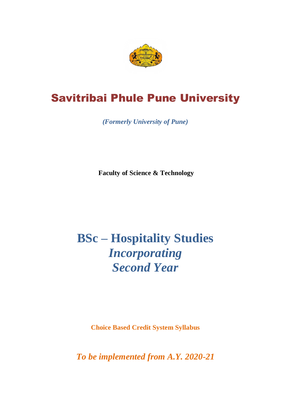

# Savitribai Phule Pune University

*(Formerly University of Pune)*

**Faculty of Science & Technology**

# **BSc – Hospitality Studies** *Incorporating Second Year*

**Choice Based Credit System Syllabus**

*To be implemented from A.Y. 2020-21*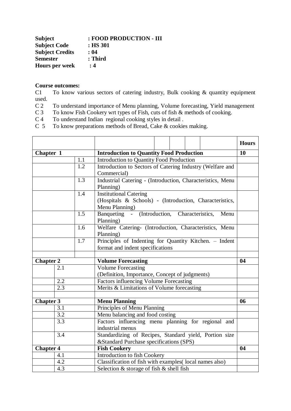| <b>Subject</b>         | : FOOD PRODUCTION - III |
|------------------------|-------------------------|
| <b>Subject Code</b>    | $:$ HS 301              |
| <b>Subject Credits</b> | : 04                    |
| <b>Semester</b>        | : Third                 |
| <b>Hours per week</b>  | : 4                     |

# **Course outcomes:**

C1 To know various sectors of catering industry, Bulk cooking & quantity equipment used.

- C 2 To understand importance of Menu planning, Volume forecasting, Yield management
- C 3 To know Fish Cookery wrt types of Fish, cuts of fish & methods of cooking.<br>C 4 To understand Indian regional cooking styles in detail.
- C 4 To understand Indian regional cooking styles in detail.<br>C 5 To know preparations methods of Bread, Cake & cookie
- To know preparations methods of Bread, Cake & cookies making.

|                  |                                                 |     |                                                            |  |  |      | <b>Hours</b> |
|------------------|-------------------------------------------------|-----|------------------------------------------------------------|--|--|------|--------------|
| Chapter 1        |                                                 |     | <b>Introduction to Quantity Food Production</b>            |  |  | 10   |              |
|                  | 1.1<br>Introduction to Quantity Food Production |     |                                                            |  |  |      |              |
|                  |                                                 | 1.2 | Introduction to Sectors of Catering Industry (Welfare and  |  |  |      |              |
|                  |                                                 |     | Commercial)                                                |  |  |      |              |
|                  |                                                 | 1.3 | Industrial Catering - (Introduction, Characteristics, Menu |  |  |      |              |
|                  |                                                 |     | Planning)                                                  |  |  |      |              |
|                  |                                                 | 1.4 | <b>Institutional Catering</b>                              |  |  |      |              |
|                  |                                                 |     | (Hospitals & Schools) - (Introduction, Characteristics,    |  |  |      |              |
|                  |                                                 |     | Menu Planning)                                             |  |  |      |              |
|                  |                                                 | 1.5 | Banqueting - (Introduction, Characteristics,               |  |  | Menu |              |
|                  |                                                 |     | Planning)                                                  |  |  |      |              |
|                  |                                                 | 1.6 | Welfare Catering- (Introduction, Characteristics, Menu     |  |  |      |              |
|                  |                                                 |     | Planning)                                                  |  |  |      |              |
|                  |                                                 | 1.7 | Principles of Indenting for Quantity Kitchen. - Indent     |  |  |      |              |
|                  | format and indent specifications                |     |                                                            |  |  |      |              |
| <b>Chapter 2</b> |                                                 |     | <b>Volume Forecasting</b>                                  |  |  |      | 04           |
|                  | 2.1                                             |     | <b>Volume Forecasting</b>                                  |  |  |      |              |
|                  |                                                 |     | (Definition, Importance, Concept of judgments)             |  |  |      |              |
|                  | 2.2                                             |     | Factors influencing Volume Forecasting                     |  |  |      |              |
|                  | 2.3                                             |     | Merits & Limitations of Volume forecasting                 |  |  |      |              |
|                  |                                                 |     |                                                            |  |  |      |              |
| <b>Chapter 3</b> |                                                 |     | <b>Menu Planning</b>                                       |  |  |      | 06           |
|                  | 3.1                                             |     | Principles of Menu Planning                                |  |  |      |              |
|                  | 3.2                                             |     | Menu balancing and food costing                            |  |  |      |              |
|                  | 3.3                                             |     | Factors influencing menu planning for regional and         |  |  |      |              |
|                  |                                                 |     | industrial menus                                           |  |  |      |              |
|                  | 3.4                                             |     | Standardizing of Recipes, Standard yield, Portion size     |  |  |      |              |
|                  |                                                 |     | & Standard Purchase specifications (SPS)                   |  |  |      |              |
| <b>Chapter 4</b> |                                                 |     | <b>Fish Cookery</b>                                        |  |  |      | 04           |
|                  | 4.1                                             |     | Introduction to fish Cookery                               |  |  |      |              |
|                  | 4.2                                             |     | Classification of fish with examples(local names also)     |  |  |      |              |
| 4.3              |                                                 |     | Selection $&$ storage of fish $&$ shell fish               |  |  |      |              |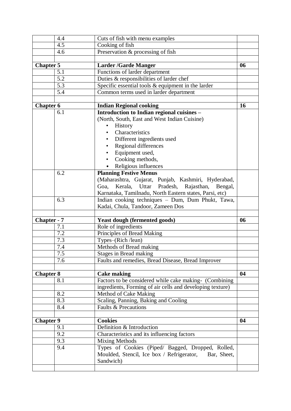|                  | 4.4   | Cuts of fish with menu examples                            |           |
|------------------|-------|------------------------------------------------------------|-----------|
|                  | 4.5   | Cooking of fish                                            |           |
|                  | 4.6   | Preservation & processing of fish                          |           |
|                  |       |                                                            |           |
| Chapter 5        |       | <b>Larder /Garde Manger</b>                                | 06        |
|                  | 5.1   | Functions of larder department                             |           |
|                  | 5.2   | Duties & responsibilities of larder chef                   |           |
|                  | 5.3   | Specific essential tools $&$ equipment in the larder       |           |
|                  | 5.4   | Common terms used in larder department                     |           |
|                  |       |                                                            |           |
| <b>Chapter 6</b> |       | <b>Indian Regional cooking</b>                             | <b>16</b> |
|                  | 6.1   | Introduction to Indian regional cuisines -                 |           |
|                  |       | (North, South, East and West Indian Cuisine)               |           |
|                  |       | History                                                    |           |
|                  |       | Characteristics                                            |           |
|                  |       | Different ingredients used                                 |           |
|                  |       | Regional differences                                       |           |
|                  |       | Equipment used,                                            |           |
|                  |       | Cooking methods,                                           |           |
|                  |       | Religious influences                                       |           |
|                  | 6.2   | <b>Planning Festive Menus</b>                              |           |
|                  |       |                                                            |           |
|                  |       | (Maharashtra, Gujarat, Punjab, Kashmiri, Hyderabad,        |           |
|                  |       | Kerala, Uttar<br>Pradesh,<br>Rajasthan,<br>Goa,<br>Bengal, |           |
|                  |       | Karnataka, Tamilnadu, North Eastern states, Parsi, etc)    |           |
|                  | 6.3   | Indian cooking techniques - Dum, Dum Phukt, Tawa,          |           |
|                  |       | Kadai, Chula, Tandoor, Zameen Dos                          |           |
|                  |       |                                                            |           |
| Chapter - 7      |       | <b>Yeast dough (fermented goods)</b>                       | 06        |
|                  | 7.1   | Role of ingredients                                        |           |
|                  | 7.2   | Principles of Bread Making                                 |           |
|                  | 7.3   | Types-(Rich /lean)                                         |           |
|                  | 7.4   | Methods of Bread making                                    |           |
|                  | $7.5$ | <b>Stages in Bread making</b>                              |           |
|                  | 7.6   | Faults and remedies, Bread Disease, Bread Improver         |           |
|                  |       |                                                            |           |
| <b>Chapter 8</b> |       | <b>Cake making</b>                                         | 04        |
|                  | 8.1   | Factors to be considered while cake making- (Combining     |           |
|                  |       |                                                            |           |
|                  |       | ingredients, Forming of air cells and developing texture)  |           |
|                  | 8.2   | Method of Cake Making                                      |           |
|                  | 8.3   | Scaling, Panning, Baking and Cooling                       |           |
|                  | 8.4   | Faults & Precautions                                       |           |
|                  |       |                                                            |           |
| <b>Chapter 9</b> |       | <b>Cookies</b>                                             | 04        |
|                  | 9.1   | Definition & Introduction                                  |           |
|                  | 9.2   | Characteristics and its influencing factors                |           |
|                  | 9.3   | <b>Mixing Methods</b>                                      |           |
|                  | 9.4   | Types of Cookies (Piped/ Bagged, Dropped, Rolled,          |           |
|                  |       | Moulded, Stencil, Ice box / Refrigerator,<br>Bar, Sheet,   |           |
|                  |       | Sandwich)                                                  |           |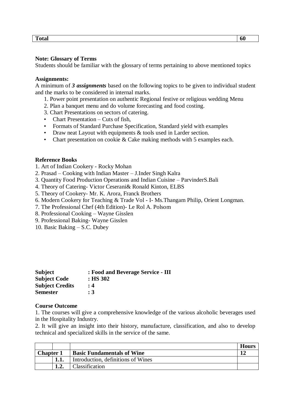**Total 60**

#### **Note: Glossary of Terms**

Students should be familiar with the glossary of terms pertaining to above mentioned topics

#### **Assignments:**

A minimum of *3 assignments* based on the following topics to be given to individual student and the marks to be considered in internal marks.

- 1. Power point presentation on authentic Regional festive or religious wedding Menu
- 2. Plan a banquet menu and do volume forecasting and food costing.
- 3. Chart Presentations on sectors of catering.
- Chart Presentation Cuts of fish,
- Formats of Standard Purchase Specification, Standard yield with examples
- Draw neat Layout with equipments & tools used in Larder section.
- Chart presentation on cookie & Cake making methods with 5 examples each.

#### **Reference Books**

- 1. Art of Indian Cookery Rocky Mohan
- 2. Prasad Cooking with Indian Master J.Inder Singh Kalra
- 3. Quantity Food Production Operations and Indian Cuisine ParvinderS.Bali
- 4. Theory of Catering- Victor Ceserani& Ronald Kinton, ELBS
- 5. Theory of Cookery- Mr. K. Arora, Franck Brothers
- 6. Modern Cookery for Teaching & Trade Vol I- Ms.Thangam Philip, Orient Longman.
- 7. The Professional Chef (4th Edition)- Le Rol A. Polsom
- 8. Professional Cooking Wayne Gisslen
- 9. Professional Baking- Wayne Gisslen
- 10. Basic Baking S.C. Dubey

| <b>Subject</b>         | : Food and Beverage Service - III |
|------------------------|-----------------------------------|
| <b>Subject Code</b>    | $:$ HS 302                        |
| <b>Subject Credits</b> | : 4                               |
| <b>Semester</b>        | :3                                |

#### **Course Outcome**

1. The courses will give a comprehensive knowledge of the various alcoholic beverages used in the Hospitality Industry.

2. It will give an insight into their history, manufacture, classification, and also to develop technical and specialized skills in the service of the same.

|                  |                                    | <b>Hours</b> |
|------------------|------------------------------------|--------------|
| <b>Chapter 1</b> | <b>Basic Fundamentals of Wine</b>  |              |
|                  | Introduction, definitions of Wines |              |
|                  | Classification                     |              |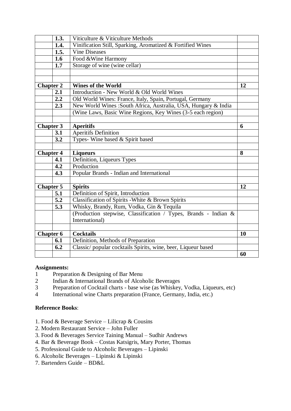|                  | 1.3. | Viticulture & Viticulture Methods                               |           |
|------------------|------|-----------------------------------------------------------------|-----------|
|                  | 1.4. | Vinification Still, Sparking, Aromatized & Fortified Wines      |           |
|                  | 1.5. | <b>Vine Diseases</b>                                            |           |
|                  | 1.6  | Food & Wine Harmony                                             |           |
|                  | 1.7  | Storage of wine (wine cellar)                                   |           |
|                  |      |                                                                 |           |
|                  |      |                                                                 |           |
| <b>Chapter 2</b> |      | <b>Wines of the World</b>                                       | 12        |
|                  | 2.1  | Introduction - New World & Old World Wines                      |           |
|                  | 2.2  | Old World Wines: France, Italy, Spain, Portugal, Germany        |           |
|                  | 2.3  | New World Wines : South Africa, Australia, USA, Hungary & India |           |
|                  |      | (Wine Laws, Basic Wine Regions, Key Wines (3-5 each region)     |           |
|                  |      |                                                                 |           |
| <b>Chapter 3</b> |      | <b>Aperitifs</b>                                                | 6         |
|                  | 3.1  | <b>Aperitifs Definition</b>                                     |           |
|                  | 3.2  | Types- Wine based & Spirit based                                |           |
|                  |      |                                                                 |           |
| <b>Chapter 4</b> |      | <b>Liqueurs</b>                                                 | 8         |
|                  | 4.1  | Definition, Liqueurs Types                                      |           |
|                  | 4.2  | Production                                                      |           |
|                  | 4.3  | Popular Brands - Indian and International                       |           |
|                  |      |                                                                 |           |
| <b>Chapter 5</b> |      |                                                                 |           |
|                  |      | <b>Spirits</b>                                                  | 12        |
|                  | 5.1  | Definition of Spirit, Introduction                              |           |
|                  | 5.2  | Classification of Spirits - White & Brown Spirits               |           |
|                  | 5.3  | Whisky, Brandy, Rum, Vodka, Gin & Tequila                       |           |
|                  |      | (Production stepwise, Classification / Types, Brands - Indian & |           |
|                  |      | International)                                                  |           |
|                  |      |                                                                 |           |
| <b>Chapter 6</b> |      | <b>Cocktails</b>                                                | <b>10</b> |
|                  | 6.1  | Definition, Methods of Preparation                              |           |
|                  | 6.2  | Classic/popular cocktails Spirits, wine, beer, Liqueur based    |           |

#### **Assignments:**

- 1 Preparation & Designing of Bar Menu
- 2 Indian & International Brands of Alcoholic Beverages
- 3 Preparation of Cocktail charts base wise (as Whiskey, Vodka, Liqueurs, etc)
- 4 International wine Charts preparation (France, Germany, India, etc.)

# **Reference Books**:

- 1. Food & Beverage Service Lilicrap & Cousins
- 2. Modern Restaurant Service John Fuller
- 3. Food & Beverages Service Taining Manual Sudhir Andrews
- 4. Bar & Beverage Book Costas Katsigris, Mary Porter, Thomas
- 5. Professional Guide to Alcoholic Beverages Lipinski
- 6. Alcoholic Beverages Lipinski & Lipinski
- 7. Bartenders Guide BD&L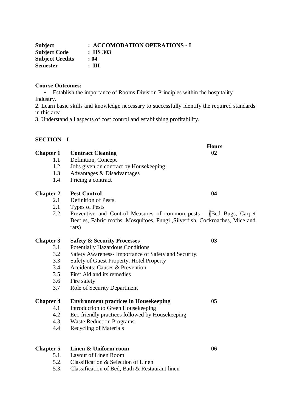| : ACCOMODATION OPERATIONS - I |
|-------------------------------|
| $:$ HS 303                    |
| : 04                          |
| $: \mathbf{H}$                |
|                               |

#### **Course Outcomes:**

• Establish the importance of Rooms Division Principles within the hospitality Industry.

2. Learn basic skills and knowledge necessary to successfully identify the required standards in this area

3. Understand all aspects of cost control and establishing profitability.

# **SECTION - I**

|                                                      | <b>Hours</b>                                                                                                                                                                                                                                                           |
|------------------------------------------------------|------------------------------------------------------------------------------------------------------------------------------------------------------------------------------------------------------------------------------------------------------------------------|
| <b>Contract Cleaning</b>                             | 02                                                                                                                                                                                                                                                                     |
| Definition, Concept                                  |                                                                                                                                                                                                                                                                        |
|                                                      |                                                                                                                                                                                                                                                                        |
| Advantages & Disadvantages                           |                                                                                                                                                                                                                                                                        |
|                                                      |                                                                                                                                                                                                                                                                        |
| <b>Pest Control</b>                                  | 04                                                                                                                                                                                                                                                                     |
| Definition of Pests.                                 |                                                                                                                                                                                                                                                                        |
| <b>Types of Pests</b>                                |                                                                                                                                                                                                                                                                        |
|                                                      |                                                                                                                                                                                                                                                                        |
| rats)                                                |                                                                                                                                                                                                                                                                        |
| <b>Safety &amp; Security Processes</b>               | 03                                                                                                                                                                                                                                                                     |
| <b>Potentially Hazardous Conditions</b>              |                                                                                                                                                                                                                                                                        |
| Safety Awareness- Importance of Safety and Security. |                                                                                                                                                                                                                                                                        |
| Safety of Guest Property, Hotel Property             |                                                                                                                                                                                                                                                                        |
| Accidents: Causes & Prevention                       |                                                                                                                                                                                                                                                                        |
| First Aid and its remedies                           |                                                                                                                                                                                                                                                                        |
| Fire safety                                          |                                                                                                                                                                                                                                                                        |
| Role of Security Department                          |                                                                                                                                                                                                                                                                        |
| <b>Environment practices in Housekeeping</b>         | 05                                                                                                                                                                                                                                                                     |
| Introduction to Green Housekeeping                   |                                                                                                                                                                                                                                                                        |
|                                                      |                                                                                                                                                                                                                                                                        |
| <b>Waste Reduction Programs</b>                      |                                                                                                                                                                                                                                                                        |
| <b>Recycling of Materials</b>                        |                                                                                                                                                                                                                                                                        |
| Linen & Uniform room                                 | 06                                                                                                                                                                                                                                                                     |
| Layout of Linen Room                                 |                                                                                                                                                                                                                                                                        |
|                                                      | Jobs given on contract by Housekeeping<br>Pricing a contract<br>Preventive and Control Measures of common pests - (Bed Bugs, Carpet<br>Beetles, Fabric moths, Mosquitoes, Fungi , Silverfish, Cockroaches, Mice and<br>Eco friendly practices followed by Housekeeping |

- 5.2. Classification & Selection of Linen
- 5.3. Classification of Bed, Bath & Restaurant linen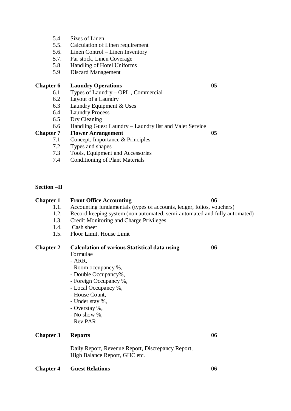- 5.4 Sizes of Linen
- 5.5. Calculation of Linen requirement
- 5.6. Linen Control Linen Inventory
- 5.7. Par stock, Linen Coverage
- 5.8 Handling of Hotel Uniforms
- 5.9 Discard Management

#### **Chapter 6 Laundry Operations 05**

- 6.1 Types of Laundry OPL , Commercial
- 6.2 Layout of a Laundry
- 6.3 Laundry Equipment & Uses
- 6.4 Laundry Process
- 6.5 Dry Cleaning
- 6.6 Handling Guest Laundry Laundry list and Valet Service

# Chapter 7 Flower Arrangement 05

- 7.1 Concept, Importance & Principles
- 7.2 Types and shapes
- 7.3 Tools, Equipment and Accessories
- 7.4 Conditioning of Plant Materials

#### **Section –II**

### **Chapter 1 Front Office Accounting 06**

- 1.1. Accounting fundamentals (types of accounts, ledger, folios, vouchers)
- 1.2. Record keeping system (non automated, semi-automated and fully automated)
- 1.3. Credit Monitoring and Charge Privileges
- 1.4. Cash sheet
- 1.5. Floor Limit, House Limit

# **Chapter 2 Calculation of various Statistical data using 06** Formulae - ARR, - Room occupancy %, - Double Occupancy%,

- Foreign Occupancy %,
- Local Occupancy %,
- House Count,
- Under stay %,
- Overstay %,
- No show %,
- Rev PAR

# **Chapter 3** Reports 06

Daily Report, Revenue Report, Discrepancy Report, High Balance Report, GHC etc.

#### **Chapter 4 Guest Relations 06**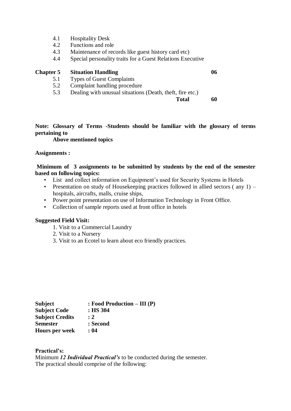- 4.1 Hospitality Desk
- 4.2 Functions and role
- 4.3 Maintenance of records like guest history card etc)
- 4.4 Special personality traits for a Guest Relations Executive

# **Chapter 5 Situation Handling 06**

- 5.1 Types of Guest Complaints
- 5.2 Complaint handling procedure
- 5.3 Dealing with unusual situations (Death, theft, fire etc.)

**Total 60**

**Note: Glossary of Terms -Students should be familiar with the glossary of terms pertaining to** 

#### **Above mentioned topics**

#### **Assignments :**

# **Minimum of 3 assignments to be submitted by students by the end of the semester based on following topics:**

- List and collect information on Equipment's used for Security Systems in Hotels
- Presentation on study of Housekeeping practices followed in allied sectors (any 1) hospitals, aircrafts, malls, cruise ships,
- Power point presentation on use of Information Technology in Front Office.
- Collection of sample reports used at front office in hotels

#### **Suggested Field Visit:**

- 1. Visit to a Commercial Laundry
- 2. Visit to a Nursery
- 3. Visit to an Ecotel to learn about eco friendly practices.

| <b>Subject</b>         | $:$ Food Production – III (P) |
|------------------------|-------------------------------|
| <b>Subject Code</b>    | $:$ HS 304                    |
| <b>Subject Credits</b> | $\cdot$ 2                     |
| <b>Semester</b>        | : Second                      |
| <b>Hours per week</b>  | : 04                          |

#### **Practical's:**

Minimum *12 Individual Practical's* to be conducted during the semester. The practical should comprise of the following: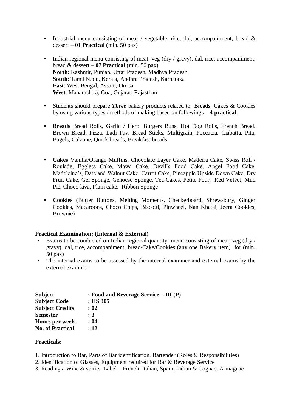- Industrial menu consisting of meat / vegetable, rice, dal, accompaniment, bread & dessert – **01 Practical** (min. 50 pax)
- Indian regional menu consisting of meat, veg (dry / gravy), dal, rice, accompaniment, bread & dessert – **07 Practical** (min. 50 pax) **North**: Kashmir, Punjab, Uttar Pradesh, Madhya Pradesh **South**: Tamil Nadu, Kerala, Andhra Pradesh, Karnataka **East**: West Bengal, Assam, Orrisa **West**: Maharashtra, Goa, Gujarat, Rajasthan
- Students should prepare *Three* bakery products related to Breads, Cakes & Cookies by using various types / methods of making based on followings – **4 practical**:
- **Breads** Bread Rolls, Garlic / Herb, Burgers Buns, Hot Dog Rolls, French Bread, Brown Bread, Pizza, Ladi Pav, Bread Sticks, Multigrain, Foccacia, Ciabatta, Pita, Bagels, Calzone, Quick breads, Breakfast breads
- **Cakes** Vanilla/Orange Muffins, Chocolate Layer Cake, Madeira Cake, Swiss Roll / Roulade, Eggless Cake, Mawa Cake, Devil's Food Cake, Angel Food Cake, Madeleine's, Date and Walnut Cake, Carrot Cake, Pineapple Upside Down Cake, Dry Fruit Cake, Gel Sponge, Genoese Sponge, Tea Cakes, Petite Four, Red Velvet, Mud Pie, Choco lava, Plum cake, Ribbon Sponge
- **Cookies** (Butter Buttons, Melting Moments, Checkerboard, Shrewsbury, Ginger Cookies, Macaroons, Choco Chips, Biscotti, Pinwheel, Nan Khatai, Jeera Cookies, Brownie)

#### **Practical Examination: (Internal & External)**

- Exams to be conducted on Indian regional quantity menu consisting of meat, veg (dry / gravy), dal, rice, accompaniment, bread/Cake/Cookies (any one Bakery item) for (min. 50 pax)
- The internal exams to be assessed by the internal examiner and external exams by the external examiner.

| <b>Subject</b>          | : Food and Beverage Service $- III(P)$ |
|-------------------------|----------------------------------------|
| <b>Subject Code</b>     | $:$ HS 305                             |
| <b>Subject Credits</b>  | : 02                                   |
| <b>Semester</b>         | : 3                                    |
| <b>Hours per week</b>   | : 04                                   |
| <b>No. of Practical</b> | : 12                                   |

#### **Practicals:**

- 1. Introduction to Bar, Parts of Bar identification, Bartender (Roles & Responsibilities)
- 2. Identification of Glasses, Equipment required for Bar & Beverage Service
- 3. Reading a Wine & spirits Label French, Italian, Spain, Indian & Cognac, Armagnac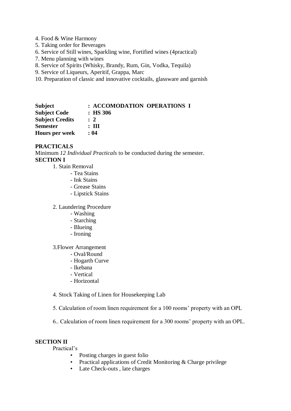- 4. Food & Wine Harmony
- 5. Taking order for Beverages
- 6. Service of Still wines, Sparkling wine, Fortified wines (4practical)
- 7. Menu planning with wines
- 8. Service of Spirits (Whisky, Brandy, Rum, Gin, Vodka, Tequila)
- 9. Service of Liqueurs, Aperitif, Grappa, Marc
- 10. Preparation of classic and innovative cocktails, glassware and garnish

| Subject                | : ACCOMODATION OPERATIONS I |
|------------------------|-----------------------------|
| <b>Subject Code</b>    | $\therefore$ HS 306         |
| <b>Subject Credits</b> | $\therefore$ 2              |
| <b>Semester</b>        | : Ш                         |
| <b>Hours per week</b>  | : 04                        |

#### **PRACTICALS**

Minimum *12 Individual Practicals* to be conducted during the semester. **SECTION I**

- 1. Stain Removal
	- Tea Stains
	- Ink Stains
	- Grease Stains
	- Lipstick Stains
- 2. Laundering Procedure
	- Washing
	- Starching
	- Blueing
	- Ironing

#### 3.Flower Arrangement

- Oval/Round
	- Hogarth Curve
	- Ikebana
	- Vertical
	- Horizontal
- 4. Stock Taking of Linen for Housekeeping Lab
- 5. Calculation of room linen requirement for a 100 rooms' property with an OPL
- 6.. Calculation of room linen requirement for a 300 rooms' property with an OPL.

#### **SECTION II**

Practical's

- Posting charges in guest folio
- Practical applications of Credit Monitoring & Charge privilege
- Late Check-outs , late charges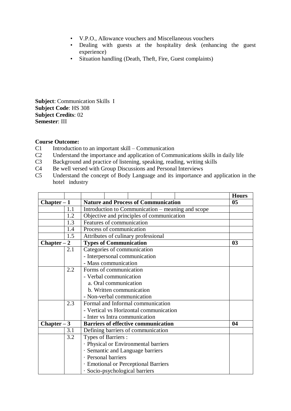- V.P.O., Allowance vouchers and Miscellaneous vouchers
- Dealing with guests at the hospitality desk (enhancing the guest experience)
- Situation handling (Death, Theft, Fire, Guest complaints)

**Subject**: Communication Skills I **Subject Code**: HS 308 **Subject Credits**: 02 **Semester**: III

# **Course Outcome:**

- C1 Introduction to an important skill Communication
- C2 Understand the importance and application of Communications skills in daily life
- C3 Background and practice of listening, speaking, reading, writing skills
- C4 Be well versed with Group Discussions and Personal Interviews<br>C5 Understand the concept of Body Language and its importance
- Understand the concept of Body Language and its importance and application in the hotel industry

|               |     |                                            |                          |                                                   | <b>Hours</b>   |
|---------------|-----|--------------------------------------------|--------------------------|---------------------------------------------------|----------------|
| $Chapter - 1$ |     | <b>Nature and Process of Communication</b> |                          |                                                   | 0 <sub>5</sub> |
|               | 1.1 |                                            |                          | Introduction to Communication – meaning and scope |                |
|               | 1.2 | Objective and principles of communication  |                          |                                                   |                |
|               | 1.3 | Features of communication                  |                          |                                                   |                |
|               | 1.4 | Process of communication                   |                          |                                                   |                |
|               | 1.5 | Attributes of culinary professional        |                          |                                                   |                |
| $Chapter - 2$ |     | <b>Types of Communication</b>              |                          |                                                   | 0 <sub>3</sub> |
|               | 2.1 | Categories of communication                |                          |                                                   |                |
|               |     | - Interpersonal communication              |                          |                                                   |                |
|               |     | - Mass communication                       |                          |                                                   |                |
|               | 2.2 | Forms of communication                     |                          |                                                   |                |
|               |     | - Verbal communication                     |                          |                                                   |                |
|               |     | a. Oral communication                      |                          |                                                   |                |
|               |     |                                            | b. Written communication |                                                   |                |
|               |     | - Non-verbal communication                 |                          |                                                   |                |
|               | 2.3 | Formal and Informal communication          |                          |                                                   |                |
|               |     | - Vertical vs Horizontal communication     |                          |                                                   |                |
|               |     | - Inter vs Intra communication             |                          |                                                   |                |
| $Chapter - 3$ |     | <b>Barriers of effective communication</b> |                          |                                                   | 04             |
|               | 3.1 | Defining barriers of communication         |                          |                                                   |                |
|               | 3.2 | Types of Barriers :                        |                          |                                                   |                |
|               |     | · Physical or Environmental barriers       |                          |                                                   |                |
|               |     | · Semantic and Language barriers           |                          |                                                   |                |
|               |     | · Personal barriers                        |                          |                                                   |                |
|               |     | · Emotional or Perceptional Barriers       |                          |                                                   |                |
|               |     | · Socio-psychological barriers             |                          |                                                   |                |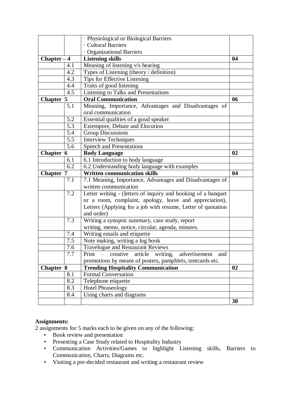|                  |         | · Physiological or Biological Barriers                        |    |
|------------------|---------|---------------------------------------------------------------|----|
|                  |         | · Cultural Barriers                                           |    |
|                  |         | · Organizational Barriers                                     |    |
| $Chapter - 4$    |         | <b>Listening skills</b>                                       | 04 |
|                  | 4.1     | Meaning of listening v/s hearing                              |    |
|                  | 4.2     | Types of Listening (theory / definition)                      |    |
|                  | 4.3     | Tips for Effective Listening                                  |    |
|                  | 4.4     | Traits of good listening                                      |    |
|                  | 4.5     | Listening to Talks and Presentations                          |    |
| <b>Chapter 5</b> |         | <b>Oral Communication</b>                                     | 06 |
|                  | 5.1     | Meaning, Importance, Advantages and Disadvantages of          |    |
|                  |         | oral communication                                            |    |
|                  | 5.2     | Essential qualities of a good speaker                         |    |
|                  | 5.3     | Extempore, Debate and Elocution                               |    |
|                  | 5.4     | <b>Group Discussions</b>                                      |    |
|                  | 5.5     | <b>Interview Techniques</b>                                   |    |
|                  | 5.6     | <b>Speech and Presentations</b>                               |    |
| Chapter 6        |         | <b>Body Language</b>                                          | 02 |
|                  | 6.1     | 6.1 Introduction to body language                             |    |
|                  | 6.2     | 6.2 Understanding body language with examples                 |    |
|                  |         |                                                               |    |
| <b>Chapter 7</b> |         | <b>Written communication skills</b>                           | 04 |
|                  | 7.1     | 7.1 Meaning, Importance, Advantages and Disadvantages of      |    |
|                  |         | written communication                                         |    |
|                  | 7.2     | Letter writing - (letters of inquiry and booking of a banquet |    |
|                  |         | or a room, complaint, apology, leave and appreciation),       |    |
|                  |         | Letters (Applying for a job with resume, Letter of quotation  |    |
|                  |         | and order)                                                    |    |
|                  | 7.3     | Writing a synoptic summary, case study, report                |    |
|                  |         | writing, memo, notice, circular, agenda, minutes.             |    |
|                  | 7.4     | Writing emails and etiquette                                  |    |
|                  | 7.5     | Note making, writing a log book                               |    |
|                  | 7.6     | Travelogue and Restaurant Reviews                             |    |
|                  | $7.7\,$ | Print - creative article writing, advertisement<br>and        |    |
|                  |         | promotions by means of posters, pamphlets, tentcards etc.     |    |
| Chapter 8        |         | <b>Trending Hospitality Communication</b>                     | 02 |
|                  | 8.1     | <b>Formal Conversation</b>                                    |    |
|                  | 8.2     | Telephone etiquette                                           |    |
|                  | 8.3     | <b>Hotel Phraseology</b>                                      |    |
|                  | 8.4     | Using charts and diagrams                                     | 30 |

# **Assignments:**

2 assignments for 5 marks each to be given on any of the following:

- Book review and presentation
- Presenting a Case Study related to Hospitality Industry
- Communication Activities/Games to highlight Listening skills, Barriers to Communication, Charts, Diagrams etc.
- Visiting a pre-decided restaurant and writing a restaurant review